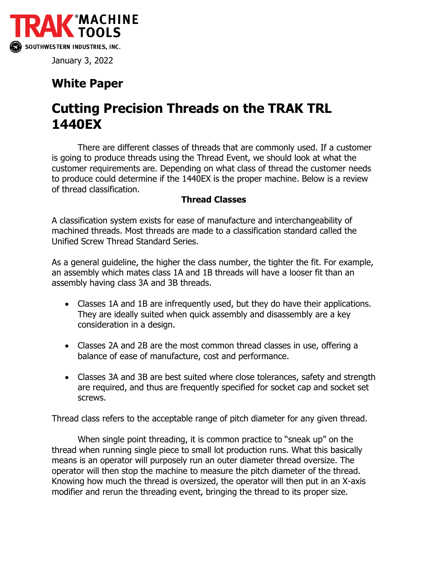

January 3, 2022

## **White Paper**

## **Cutting Precision Threads on the TRAK TRL 1440EX**

There are different classes of threads that are commonly used. If a customer is going to produce threads using the Thread Event, we should look at what the customer requirements are. Depending on what class of thread the customer needs to produce could determine if the 1440EX is the proper machine. Below is a review of thread classification.

## **Thread Classes**

A classification system exists for ease of manufacture and interchangeability of machined threads. Most threads are made to a classification standard called the Unified Screw Thread Standard Series.

As a general guideline, the higher the class number, the tighter the fit. For example, an assembly which mates class 1A and 1B threads will have a looser fit than an assembly having class 3A and 3B threads.

- Classes 1A and 1B are infrequently used, but they do have their applications. They are ideally suited when quick assembly and disassembly are a key consideration in a design.
- Classes 2A and 2B are the most common thread classes in use, offering a balance of ease of manufacture, cost and performance.
- Classes 3A and 3B are best suited where close tolerances, safety and strength are required, and thus are frequently specified for socket cap and socket set screws.

Thread class refers to the acceptable range of pitch diameter for any given thread.

When single point threading, it is common practice to "sneak up" on the thread when running single piece to small lot production runs. What this basically means is an operator will purposely run an outer diameter thread oversize. The operator will then stop the machine to measure the pitch diameter of the thread. Knowing how much the thread is oversized, the operator will then put in an X-axis modifier and rerun the threading event, bringing the thread to its proper size.